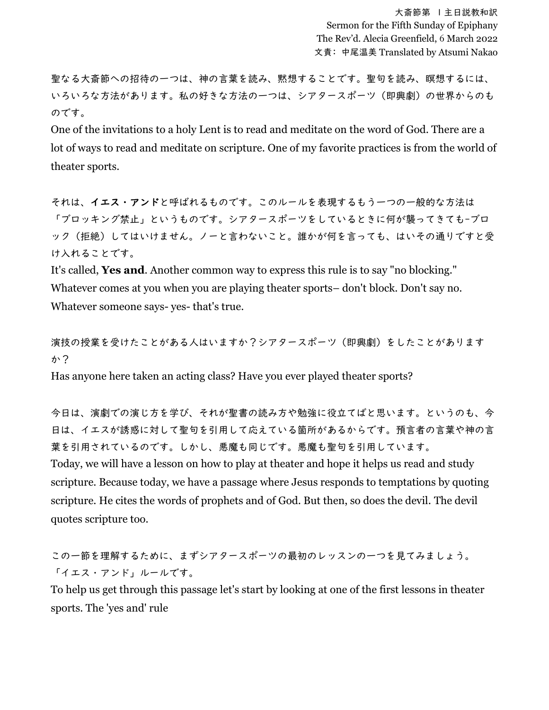聖なる大斎節への招待の一つは、神の言葉を読み、黙想することです。聖句を読み、瞑想するには、 いろいろな方法があります。私の好きな方法の一つは、シアタースポーツ(即興劇)の世界からのも のです。

One of the invitations to a holy Lent is to read and meditate on the word of God. There are a lot of ways to read and meditate on scripture. One of my favorite practices is from the world of theater sports.

それは、イエス・アンドと呼ばれるものです。このルールを表現するもう一つの一般的な方法は 「ブロッキング禁止」というものです。シアタースポーツをしているときに何が襲ってきても-ブロ ック(拒絶)してはいけません。ノーと言わないこと。誰かが何を言っても、はいその通りですと受 け入れることです。

It's called, **Yes and**. Another common way to express this rule is to say "no blocking." Whatever comes at you when you are playing theater sports– don't block. Don't say no. Whatever someone says- yes- that's true.

演技の授業を受けたことがある人はいますか?シアタースポーツ(即興劇)をしたことがあります か?

Has anyone here taken an acting class? Have you ever played theater sports?

今日は、演劇での演じ方を学び、それが聖書の読み方や勉強に役立てばと思います。というのも、今 日は、イエスが誘惑に対して聖句を引用して応えている箇所があるからです。預言者の言葉や神の言 葉を引用されているのです。しかし、悪魔も同じです。悪魔も聖句を引用しています。 Today, we will have a lesson on how to play at theater and hope it helps us read and study scripture. Because today, we have a passage where Jesus responds to temptations by quoting scripture. He cites the words of prophets and of God. But then, so does the devil. The devil quotes scripture too.

この一節を理解するために、まずシアタースポーツの最初のレッスンの一つを見てみましょう。 「イエス・アンド」ルールです。

To help us get through this passage let's start by looking at one of the first lessons in theater sports. The 'yes and' rule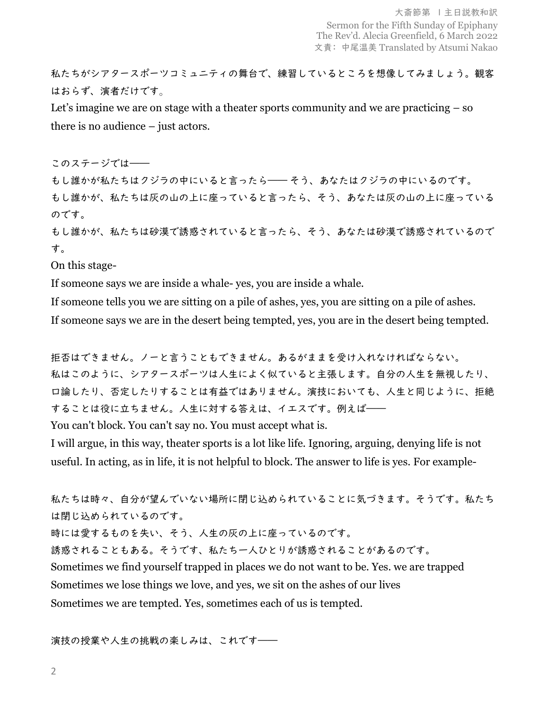私たちがシアタースポーツコミュニティの舞台で、練習しているところを想像してみましょう。観客 はおらず、演者だけです。

Let's imagine we are on stage with a theater sports community and we are practicing  $-$  so there is no audience – just actors.

このステージでは――

もし誰かが私たちはクジラの中にいると言ったら―― そう、あなたはクジラの中にいるのです。 もし誰かが、私たちは灰の山の上に座っていると言ったら、そう、あなたは灰の山の上に座っている のです。

もし誰かが、私たちは砂漠で誘惑されていると言ったら、そう、あなたは砂漠で誘惑されているので す。

On this stage-

If someone says we are inside a whale- yes, you are inside a whale.

If someone tells you we are sitting on a pile of ashes, yes, you are sitting on a pile of ashes.

If someone says we are in the desert being tempted, yes, you are in the desert being tempted.

拒否はできません。ノーと言うこともできません。あるがままを受け入れなければならない。 私はこのように、シアタースポーツは人生によく似ていると主張します。自分の人生を無視したり、 口論したり、否定したりすることは有益ではありません。演技においても、人生と同じように、拒絶 することは役に立ちません。人生に対する答えは、イエスです。例えば――

You can't block. You can't say no. You must accept what is.

I will argue, in this way, theater sports is a lot like life. Ignoring, arguing, denying life is not useful. In acting, as in life, it is not helpful to block. The answer to life is yes. For example-

私たちは時々、自分が望んでいない場所に閉じ込められていることに気づきます。そうです。私たち は閉じ込められているのです。 時には愛するものを失い、そう、人生の灰の上に座っているのです。 誘惑されることもある。そうです、私たち一人ひとりが誘惑されることがあるのです。 Sometimes we find yourself trapped in places we do not want to be. Yes. we are trapped Sometimes we lose things we love, and yes, we sit on the ashes of our lives Sometimes we are tempted. Yes, sometimes each of us is tempted.

演技の授業や人生の挑戦の楽しみは、これです――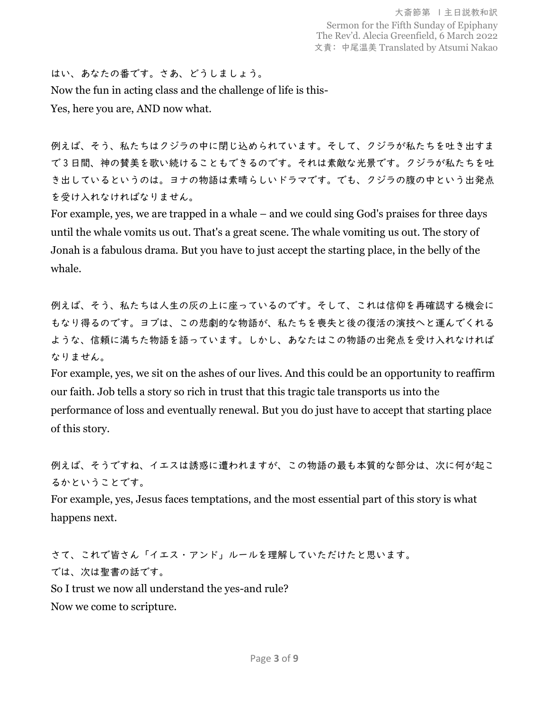はい、あなたの番です。さあ、どうしましょう。 Now the fun in acting class and the challenge of life is this-Yes, here you are, AND now what.

例えば、そう、私たちはクジラの中に閉じ込められています。そして、クジラが私たちを吐き出すま で 3 日間、神の賛美を歌い続けることもできるのです。それは素敵な光景です。クジラが私たちを吐 き出しているというのは。ヨナの物語は素晴らしいドラマです。でも、クジラの腹の中という出発点 を受け入れなければなりません。

For example, yes, we are trapped in a whale – and we could sing God's praises for three days until the whale vomits us out. That's a great scene. The whale vomiting us out. The story of Jonah is a fabulous drama. But you have to just accept the starting place, in the belly of the whale.

例えば、そう、私たちは人生の灰の上に座っているのです。そして、これは信仰を再確認する機会に もなり得るのです。ヨブは、この悲劇的な物語が、私たちを喪失と後の復活の演技へと運んでくれる ような、信頼に満ちた物語を語っています。しかし、あなたはこの物語の出発点を受け入れなければ なりません。

For example, yes, we sit on the ashes of our lives. And this could be an opportunity to reaffirm our faith. Job tells a story so rich in trust that this tragic tale transports us into the performance of loss and eventually renewal. But you do just have to accept that starting place of this story.

例えば、そうですね、イエスは誘惑に遭われますが、この物語の最も本質的な部分は、次に何が起こ るかということです。

For example, yes, Jesus faces temptations, and the most essential part of this story is what happens next.

さて、これで皆さん「イエス・アンド」ルールを理解していただけたと思います。 では、次は聖書の話です。 So I trust we now all understand the yes-and rule?

Now we come to scripture.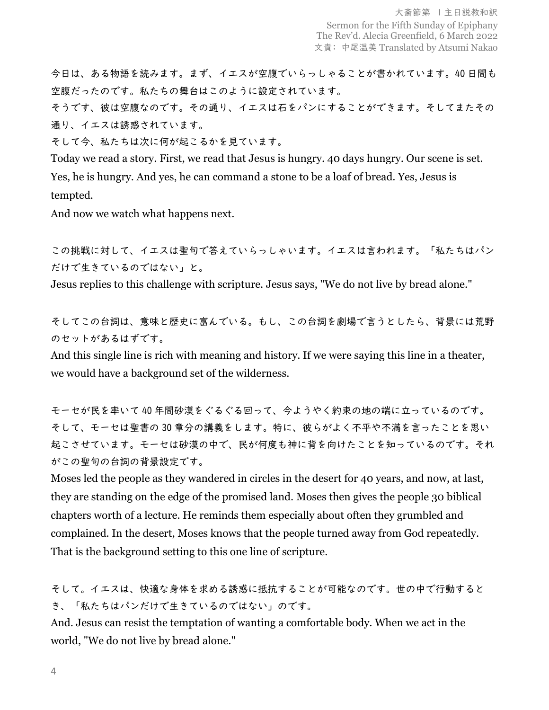今日は、ある物語を読みます。まず、イエスが空腹でいらっしゃることが書かれています。40 日間も 空腹だったのです。私たちの舞台はこのように設定されています。

そうです、彼は空腹なのです。その通り、イエスは石をパンにすることができます。そしてまたその 通り、イエスは誘惑されています。

そして今、私たちは次に何が起こるかを見ています。

Today we read a story. First, we read that Jesus is hungry. 40 days hungry. Our scene is set. Yes, he is hungry. And yes, he can command a stone to be a loaf of bread. Yes, Jesus is tempted.

And now we watch what happens next.

この挑戦に対して、イエスは聖句で答えていらっしゃいます。イエスは言われます。「私たちはパン だけで生きているのではない」と。

Jesus replies to this challenge with scripture. Jesus says, "We do not live by bread alone."

そしてこの台詞は、意味と歴史に富んでいる。もし、この台詞を劇場で言うとしたら、背景には荒野 のセットがあるはずです。

And this single line is rich with meaning and history. If we were saying this line in a theater, we would have a background set of the wilderness.

モーセが民を率いて 40 年間砂漠をぐるぐる回って、今ようやく約束の地の端に立っているのです。 そして、モーセは聖書の 30 章分の講義をします。特に、彼らがよく不平や不満を言ったことを思い 起こさせています。モーセは砂漠の中で、民が何度も神に背を向けたことを知っているのです。それ がこの聖句の台詞の背景設定です。

Moses led the people as they wandered in circles in the desert for 40 years, and now, at last, they are standing on the edge of the promised land. Moses then gives the people 30 biblical chapters worth of a lecture. He reminds them especially about often they grumbled and complained. In the desert, Moses knows that the people turned away from God repeatedly. That is the background setting to this one line of scripture.

そして。イエスは、快適な身体を求める誘惑に抵抗することが可能なのです。世の中で行動すると き、「私たちはパンだけで生きているのではない」のです。

And. Jesus can resist the temptation of wanting a comfortable body. When we act in the world, "We do not live by bread alone."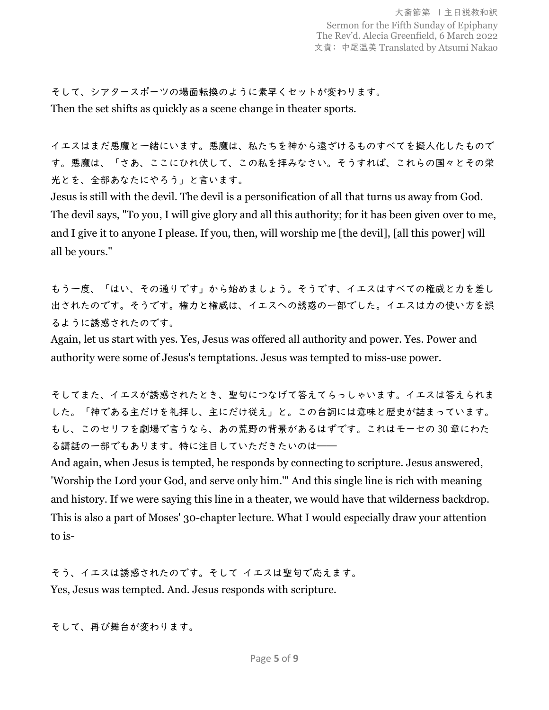そして、シアタースポーツの場面転換のように素早くセットが変わります。 Then the set shifts as quickly as a scene change in theater sports.

イエスはまだ悪魔と一緒にいます。悪魔は、私たちを神から遠ざけるものすべてを擬人化したもので す。悪魔は、「さあ、ここにひれ伏して、この私を拝みなさい。そうすれば、これらの国々とその栄 光とを、全部あなたにやろう」と言います。

Jesus is still with the devil. The devil is a personification of all that turns us away from God. The devil says, "To you, I will give glory and all this authority; for it has been given over to me, and I give it to anyone I please. If you, then, will worship me [the devil], [all this power] will all be yours."

もう一度、「はい、その通りです」から始めましょう。そうです、イエスはすべての権威と力を差し 出されたのです。そうです。権力と権威は、イエスへの誘惑の一部でした。イエスは力の使い方を誤 るように誘惑されたのです。

Again, let us start with yes. Yes, Jesus was offered all authority and power. Yes. Power and authority were some of Jesus's temptations. Jesus was tempted to miss-use power.

そしてまた、イエスが誘惑されたとき、聖句につなげて答えてらっしゃいます。イエスは答えられま した。「神である主だけを礼拝し、主にだけ従え」と。この台詞には意味と歴史が詰まっています。 もし、このセリフを劇場で言うなら、あの荒野の背景があるはずです。これはモーセの 30 章にわた る講話の一部でもあります。特に注目していただきたいのは――

And again, when Jesus is tempted, he responds by connecting to scripture. Jesus answered, 'Worship the Lord your God, and serve only him.'" And this single line is rich with meaning and history. If we were saying this line in a theater, we would have that wilderness backdrop. This is also a part of Moses' 30-chapter lecture. What I would especially draw your attention to is-

そう、イエスは誘惑されたのです。そして イエスは聖句で応えます。 Yes, Jesus was tempted. And. Jesus responds with scripture.

そして、再び舞台が変わります。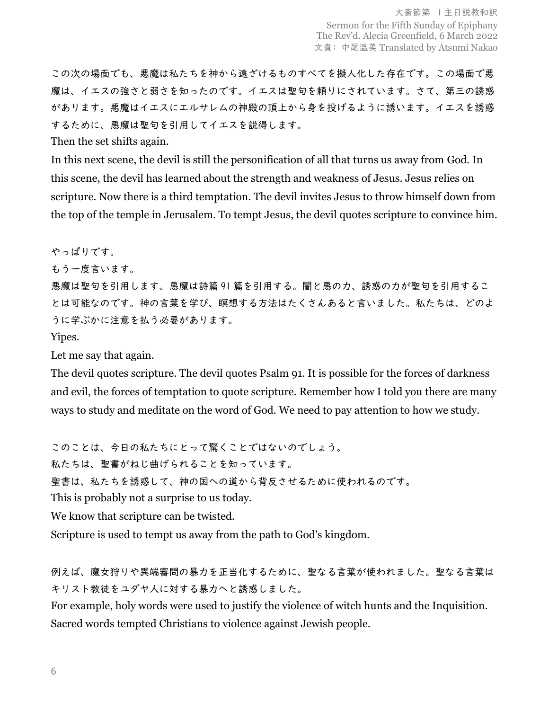この次の場面でも、悪魔は私たちを神から遠ざけるものすべてを擬人化した存在です。この場面で悪 魔は、イエスの強さと弱さを知ったのです。イエスは聖句を頼りにされています。さて、第三の誘惑 があります。悪魔はイエスにエルサレムの神殿の頂上から身を投げるように誘います。イエスを誘惑 するために、悪魔は聖句を引用してイエスを説得します。

Then the set shifts again.

In this next scene, the devil is still the personification of all that turns us away from God. In this scene, the devil has learned about the strength and weakness of Jesus. Jesus relies on scripture. Now there is a third temptation. The devil invites Jesus to throw himself down from the top of the temple in Jerusalem. To tempt Jesus, the devil quotes scripture to convince him.

やっぱりです。

もう一度言います。

悪魔は聖句を引用します。悪魔は詩篇 91 篇を引用する。闇と悪の力、誘惑の力が聖句を引用するこ とは可能なのです。神の言葉を学び、瞑想する方法はたくさんあると言いました。私たちは、どのよ うに学ぶかに注意を払う必要があります。

Yipes.

Let me say that again.

The devil quotes scripture. The devil quotes Psalm 91. It is possible for the forces of darkness and evil, the forces of temptation to quote scripture. Remember how I told you there are many ways to study and meditate on the word of God. We need to pay attention to how we study.

このことは、今日の私たちにとって驚くことではないのでしょう。

私たちは、聖書がねじ曲げられることを知っています。

聖書は、私たちを誘惑して、神の国への道から背反させるために使われるのです。

This is probably not a surprise to us today.

We know that scripture can be twisted.

Scripture is used to tempt us away from the path to God's kingdom.

例えば、魔女狩りや異端審問の暴力を正当化するために、聖なる言葉が使われました。聖なる言葉は キリスト教徒をユダヤ人に対する暴力へと誘惑しました。

For example, holy words were used to justify the violence of witch hunts and the Inquisition. Sacred words tempted Christians to violence against Jewish people.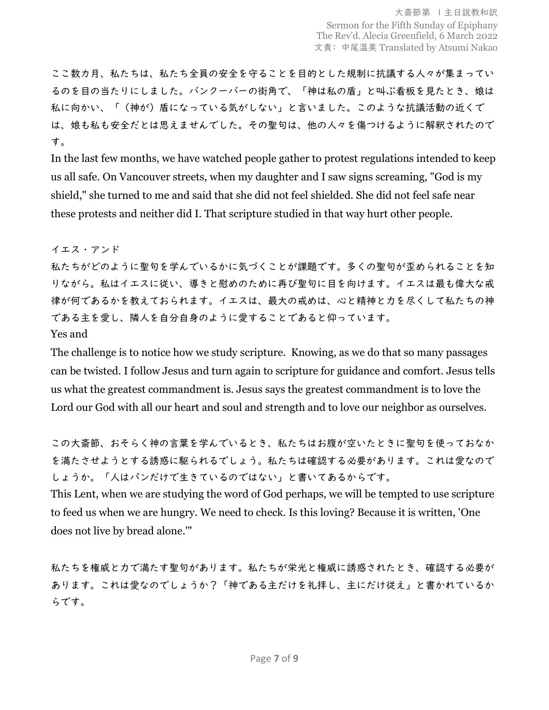ここ数カ月、私たちは、私たち全員の安全を守ることを目的とした規制に抗議する人々が集まってい るのを目の当たりにしました。バンクーバーの街角で、「神は私の盾」と叫ぶ看板を見たとき、娘は 私に向かい、「(神が)盾になっている気がしない」と言いました。このような抗議活動の近くで は、娘も私も安全だとは思えませんでした。その聖句は、他の人々を傷つけるように解釈されたので す。

In the last few months, we have watched people gather to protest regulations intended to keep us all safe. On Vancouver streets, when my daughter and I saw signs screaming, "God is my shield," she turned to me and said that she did not feel shielded. She did not feel safe near these protests and neither did I. That scripture studied in that way hurt other people.

イエス・アンド

私たちがどのように聖句を学んでいるかに気づくことが課題です。多くの聖句が歪められることを知 りながら。私はイエスに従い、導きと慰めのために再び聖句に目を向けます。イエスは最も偉大な戒 律が何であるかを教えておられます。イエスは、最大の戒めは、心と精神と力を尽くして私たちの神 である主を愛し、隣人を自分自身のように愛することであると仰っています。

Yes and

The challenge is to notice how we study scripture. Knowing, as we do that so many passages can be twisted. I follow Jesus and turn again to scripture for guidance and comfort. Jesus tells us what the greatest commandment is. Jesus says the greatest commandment is to love the Lord our God with all our heart and soul and strength and to love our neighbor as ourselves.

この大斎節、おそらく神の言葉を学んでいるとき、私たちはお腹が空いたときに聖句を使っておなか を満たさせようとする誘惑に駆られるでしょう。私たちは確認する必要があります。これは愛なので しょうか。「人はパンだけで生きているのではない」と書いてあるからです。

This Lent, when we are studying the word of God perhaps, we will be tempted to use scripture to feed us when we are hungry. We need to check. Is this loving? Because it is written, 'One does not live by bread alone.'"

私たちを権威と力で満たす聖句があります。私たちが栄光と権威に誘惑されたとき、確認する必要が あります。これは愛なのでしょうか?「神である主だけを礼拝し、主にだけ従え」と書かれているか らです。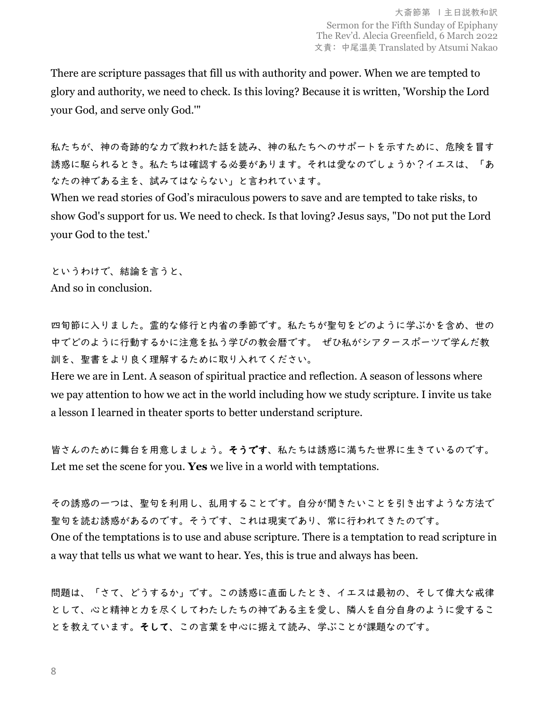There are scripture passages that fill us with authority and power. When we are tempted to glory and authority, we need to check. Is this loving? Because it is written, 'Worship the Lord your God, and serve only God.'"

私たちが、神の奇跡的な力で救われた話を読み、神の私たちへのサポートを示すために、危険を冒す 誘惑に駆られるとき。私たちは確認する必要があります。それは愛なのでしょうか?イエスは、「あ なたの神である主を、試みてはならない」と言われています。

When we read stories of God's miraculous powers to save and are tempted to take risks, to show God's support for us. We need to check. Is that loving? Jesus says, "Do not put the Lord your God to the test.'

というわけで、結論を言うと、 And so in conclusion.

四旬節に入りました。霊的な修行と内省の季節です。私たちが聖句をどのように学ぶかを含め、世の 中でどのように行動するかに注意を払う学びの教会暦です。 ぜひ私がシアタースポーツで学んだ教 訓を、聖書をより良く理解するために取り入れてください。

Here we are in Lent. A season of spiritual practice and reflection. A season of lessons where we pay attention to how we act in the world including how we study scripture. I invite us take a lesson I learned in theater sports to better understand scripture.

皆さんのために舞台を用意しましょう。そうです、私たちは誘惑に満ちた世界に生きているのです。 Let me set the scene for you. **Yes** we live in a world with temptations.

その誘惑の一つは、聖句を利用し、乱用することです。自分が聞きたいことを引き出すような方法で 聖句を読む誘惑があるのです。そうです、これは現実であり、常に行われてきたのです。 One of the temptations is to use and abuse scripture. There is a temptation to read scripture in a way that tells us what we want to hear. Yes, this is true and always has been.

問題は、「さて、どうするか」です。この誘惑に直面したとき、イエスは最初の、そして偉大な戒律 として、心と精神と力を尽くしてわたしたちの神である主を愛し、隣人を自分自身のように愛するこ とを教えています。そして、この言葉を中心に据えて読み、学ぶことが課題なのです。